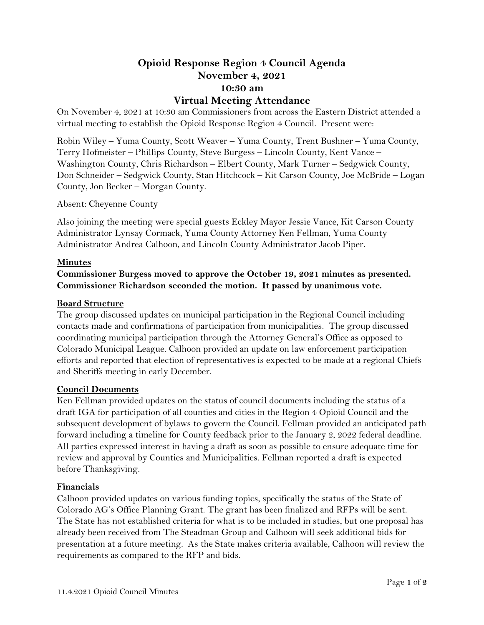# **Opioid Response Region 4 Council Agenda November 4, 2021 10:30 am**

## **Virtual Meeting Attendance**

On November 4, 2021 at 10:30 am Commissioners from across the Eastern District attended a virtual meeting to establish the Opioid Response Region 4 Council. Present were:

Robin Wiley – Yuma County, Scott Weaver – Yuma County, Trent Bushner – Yuma County, Terry Hofmeister – Phillips County, Steve Burgess – Lincoln County, Kent Vance – Washington County, Chris Richardson – Elbert County, Mark Turner – Sedgwick County, Don Schneider – Sedgwick County, Stan Hitchcock – Kit Carson County, Joe McBride – Logan County, Jon Becker – Morgan County.

Absent: Cheyenne County

Also joining the meeting were special guests Eckley Mayor Jessie Vance, Kit Carson County Administrator Lynsay Cormack, Yuma County Attorney Ken Fellman, Yuma County Administrator Andrea Calhoon, and Lincoln County Administrator Jacob Piper.

#### **Minutes**

## **Commissioner Burgess moved to approve the October 19, 2021 minutes as presented. Commissioner Richardson seconded the motion. It passed by unanimous vote.**

#### **Board Structure**

The group discussed updates on municipal participation in the Regional Council including contacts made and confirmations of participation from municipalities. The group discussed coordinating municipal participation through the Attorney General's Office as opposed to Colorado Municipal League. Calhoon provided an update on law enforcement participation efforts and reported that election of representatives is expected to be made at a regional Chiefs and Sheriffs meeting in early December.

#### **Council Documents**

Ken Fellman provided updates on the status of council documents including the status of a draft IGA for participation of all counties and cities in the Region 4 Opioid Council and the subsequent development of bylaws to govern the Council. Fellman provided an anticipated path forward including a timeline for County feedback prior to the January 2, 2022 federal deadline. All parties expressed interest in having a draft as soon as possible to ensure adequate time for review and approval by Counties and Municipalities. Fellman reported a draft is expected before Thanksgiving.

#### **Financials**

Calhoon provided updates on various funding topics, specifically the status of the State of Colorado AG's Office Planning Grant. The grant has been finalized and RFPs will be sent. The State has not established criteria for what is to be included in studies, but one proposal has already been received from The Steadman Group and Calhoon will seek additional bids for presentation at a future meeting. As the State makes criteria available, Calhoon will review the requirements as compared to the RFP and bids.